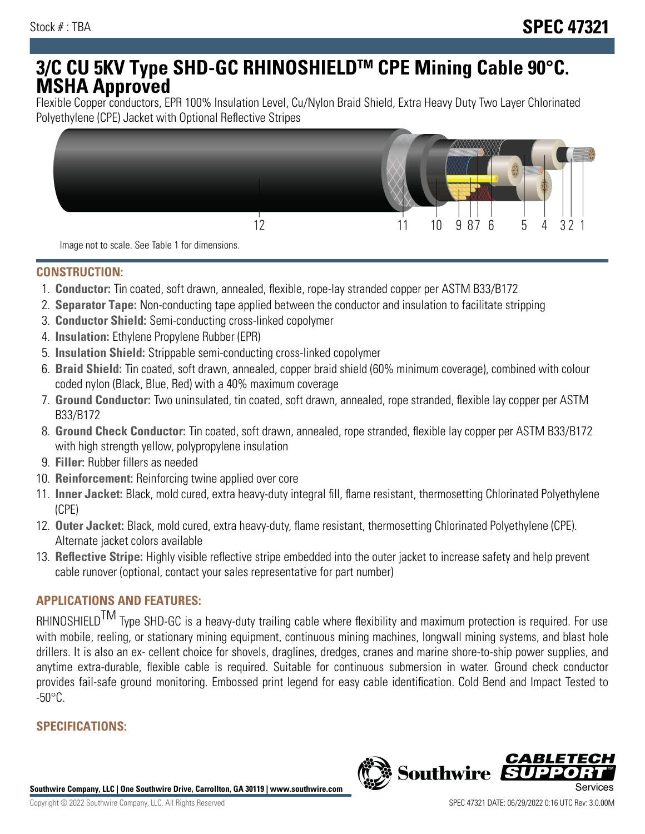# **3/C CU 5KV Type SHD-GC RHINOSHIELDTM CPE Mining Cable 90°C. MSHA Approved**

Flexible Copper conductors, EPR 100% Insulation Level, Cu/Nylon Braid Shield, Extra Heavy Duty Two Layer Chlorinated Polyethylene (CPE) Jacket with Optional Reflective Stripes



Image not to scale. See Table 1 for dimensions.

### **CONSTRUCTION:**

- 1. **Conductor:** Tin coated, soft drawn, annealed, flexible, rope-lay stranded copper per ASTM B33/B172
- 2. **Separator Tape:** Non-conducting tape applied between the conductor and insulation to facilitate stripping
- 3. **Conductor Shield:** Semi-conducting cross-linked copolymer
- 4. **Insulation:** Ethylene Propylene Rubber (EPR)
- 5. **Insulation Shield:** Strippable semi-conducting cross-linked copolymer
- 6. **Braid Shield:** Tin coated, soft drawn, annealed, copper braid shield (60% minimum coverage), combined with colour coded nylon (Black, Blue, Red) with a 40% maximum coverage
- 7. **Ground Conductor:** Two uninsulated, tin coated, soft drawn, annealed, rope stranded, flexible lay copper per ASTM B33/B172
- 8. **Ground Check Conductor:** Tin coated, soft drawn, annealed, rope stranded, flexible lay copper per ASTM B33/B172 with high strength yellow, polypropylene insulation
- 9. **Filler:** Rubber fillers as needed
- 10. **Reinforcement:** Reinforcing twine applied over core
- 11. **Inner Jacket:** Black, mold cured, extra heavy-duty integral fill, flame resistant, thermosetting Chlorinated Polyethylene (CPE)
- 12. **Outer Jacket:** Black, mold cured, extra heavy-duty, flame resistant, thermosetting Chlorinated Polyethylene (CPE). Alternate jacket colors available
- 13. **Reflective Stripe:** Highly visible reflective stripe embedded into the outer jacket to increase safety and help prevent cable runover (optional, contact your sales representative for part number)

## **APPLICATIONS AND FEATURES:**

RHINOSHIELD<sup>TM</sup> Type SHD-GC is a heavy-duty trailing cable where flexibility and maximum protection is required. For use with mobile, reeling, or stationary mining equipment, continuous mining machines, longwall mining systems, and blast hole drillers. It is also an ex- cellent choice for shovels, draglines, dredges, cranes and marine shore-to-ship power supplies, and anytime extra-durable, flexible cable is required. Suitable for continuous submersion in water. Ground check conductor provides fail-safe ground monitoring. Embossed print legend for easy cable identification. Cold Bend and Impact Tested to  $-50^{\circ}$ C.

## **SPECIFICATIONS:**

**Southwire Company, LLC | One Southwire Drive, Carrollton, GA 30119 | www.southwire.com**

**Southwire** 

CABL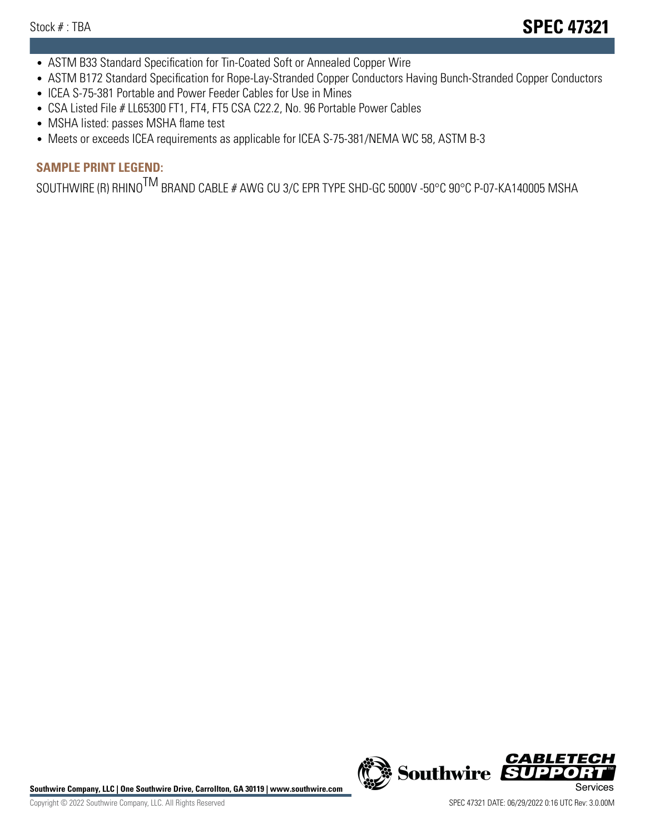- ASTM B33 Standard Specification for Tin-Coated Soft or Annealed Copper Wire
- ASTM B172 Standard Specification for Rope-Lay-Stranded Copper Conductors Having Bunch-Stranded Copper Conductors
- ICEA S-75-381 Portable and Power Feeder Cables for Use in Mines
- CSA Listed File # LL65300 FT1, FT4, FT5 CSA C22.2, No. 96 Portable Power Cables
- MSHA listed: passes MSHA flame test
- Meets or exceeds ICEA requirements as applicable for ICEA S-75-381/NEMA WC 58, ASTM B-3

## **SAMPLE PRINT LEGEND:**

SOUTHWIRE (R) RHINO<sup>TM</sup> BRAND CABLE # AWG CU 3/C EPR TYPE SHD-GC 5000V -50°C 90°C P-07-KA140005 MSHA

Southwire Company, LLC | One Southwire Drive, Carrollton, GA 30119 | www.southwire.com **Second Company, COVID Services** 



CABL